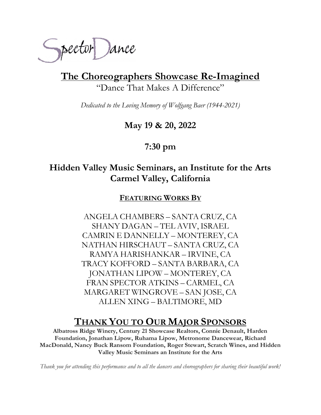

The Choreographers Showcase Re-Imagined "Dance That Makes A Difference"

Dedicated to the Loving Memory of Wolfgang Baer (1944-2021)

May 19 & 20, 2022

7:30 pm

## Hidden Valley Music Seminars, an Institute for the Arts Carmel Valley, California

FEATURING WORKS BY

ANGELA CHAMBERS – SANTA CRUZ, CA SHANY DAGAN – TEL AVIV, ISRAEL CAMRIN E DANNELLY – MONTEREY, CA NATHAN HIRSCHAUT – SANTA CRUZ, CA RAMYA HARISHANKAR – IRVINE, CA TRACY KOFFORD – SANTA BARBARA, CA JONATHAN LIPOW – MONTEREY, CA FRAN SPECTOR ATKINS – CARMEL, CA MARGARET WINGROVE – SAN JOSE, CA ALLEN XING – BALTIMORE, MD

# THANK YOU TO OUR MAJOR SPONSORS

Albatross Ridge Winery, Century 21 Showcase Realtors, Connie Denault, Harden Foundation, Jonathan Lipow, Ruhama Lipow, Metronome Dancewear, Richard MacDonald, Nancy Buck Ransom Foundation, Roger Stewart, Scratch Wines, and Hidden Valley Music Seminars an Institute for the Arts

Thank you for attending this performance and to all the dancers and choreographers for sharing their beautiful work!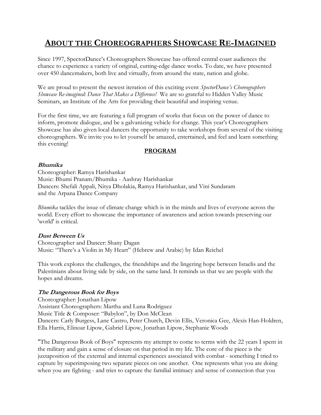## ABOUT THE CHOREOGRAPHERS SHOWCASE RE-IMAGINED

Since 1997, SpectorDance's Choreographers Showcase has offered central coast audiences the chance to experience a variety of original, cutting-edge dance works. To date, we have presented over 450 dancemakers, both live and virtually, from around the state, nation and globe.

We are proud to present the newest iteration of this exciting event *SpectorDance's Choreographers* Showcase Re-imagined: Dance That Makes a Difference! We are so grateful to Hidden Valley Music Seminars, an Institute of the Arts for providing their beautiful and inspiring venue.

For the first time, we are featuring a full program of works that focus on the power of dance to inform, promote dialogue, and be a galvanizing vehicle for change. This year's Choreographers Showcase has also given local dancers the opportunity to take workshops from several of the visiting choreographers. We invite you to let yourself be amazed, entertained, and feel and learn something this evening!

## PROGRAM

## Bhumika

Choreographer: Ramya Harishankar Music: Bhumi Pranam/Bhumika - Aashray Harishankar Dancers: Shefali Appali, Nitya Dholakia, Ramya Harishankar, and Vini Sundaram and the Arpana Dance Company

Bhumika tackles the issue of climate change which is in the minds and lives of everyone across the world. Every effort to showcase the importance of awareness and action towards preserving our 'world' is critical.

## Dust Between Us

Choreographer and Dancer: Shany Dagan Music: "There's a Violin in My Heart" (Hebrew and Arabic) by Idan Reichel

This work explores the challenges, the friendships and the lingering hope between Israelis and the Palestinians about living side by side, on the same land. It reminds us that we are people with the hopes and dreams.

## The Dangerous Book for Boys

Choreographer: Jonathan Lipow Assistant Choreographers: Martha and Luna Rodriguez Music Title & Composer: "Babylon", by Don McClean Dancers: Carly Burgess, Lane Castro, Peter Church, Devin Ellis, Veronica Gee, Alexis Han-Holdren, Ella Harris, Elinoar Lipow, Gabriel Lipow, Jonathan Lipow, Stephanie Woods

"The Dangerous Book of Boys" represents my attempt to come to terms with the 22 years I spent in the military and gain a sense of closure on that period in my life. The core of the piece is the juxtaposition of the external and internal experiences associated with combat - something I tried to capture by superimposing two separate pieces on one another. One represents what you are doing when you are fighting - and tries to capture the familial intimacy and sense of connection that you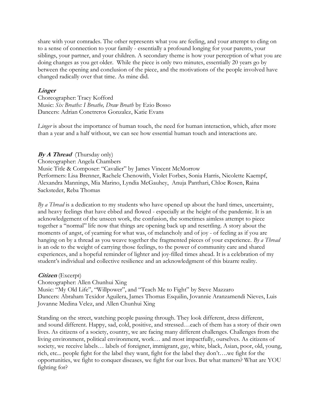share with your comrades. The other represents what you are feeling, and your attempt to cling on to a sense of connection to your family - essentially a profound longing for your parents, your siblings, your partner, and your children. A secondary theme is how your perception of what you are doing changes as you get older. While the piece is only two minutes, essentially 20 years go by between the opening and conclusion of the piece, and the motivations of the people involved have changed radically over that time. As mine did.

#### **Linger**

Choreographer: Tracy Kofford Music: Six Breaths: I Breathe, Draw Breath by Ezio Bosso Dancers: Adrian Conetreros Gonzalez, Katie Evans

Linger is about the importance of human touch, the need for human interaction, which, after more than a year and a half without, we can see how essential human touch and interactions are.

## $By A Thread$  (Thursday only)

Choreographer: Angela Chambers Music Title & Composer: "Cavalier" by James Vincent McMorrow

Performers: Lisa Brenner, Rachele Chenowith, Violet Forbes, Sonia Harris, Nicolette Kaempf, Alexandra Mannings, Mia Marino, Lyndia McGauhey, Anuja Panthari, Chloe Rosen, Raina Sacksteder, Reba Thomas

By a Thread is a dedication to my students who have opened up about the hard times, uncertainty, and heavy feelings that have ebbed and flowed - especially at the height of the pandemic. It is an acknowledgement of the unseen work, the confusion, the sometimes aimless attempt to piece together a "normal" life now that things are opening back up and resettling. A story about the moments of angst, of yearning for what was, of melancholy and of joy - of feeling as if you are hanging on by a thread as you weave together the fragmented pieces of your experience. By a Thread is an ode to the weight of carrying those feelings, to the power of community care and shared experiences, and a hopeful reminder of lighter and joy-filled times ahead. It is a celebration of my student's individual and collective resilience and an acknowledgment of this bizarre reality.

## Citizen (Excerpt)

Choreographer: Allen Chunhui Xing

Music: "My Old Life", "Willpower", and "Teach Me to Fight" by Steve Mazzaro Dancers: Abraham Texidor Aguilera, James Thomas Esquilin, Jovannie Aranzamendi Nieves, Luis Jovanne Medina Velez, and Allen Chunhui Xing

Standing on the street, watching people passing through. They look different, dress different, and sound different. Happy, sad, cold, positive, and stressed…each of them has a story of their own lives. As citizens of a society, country, we are facing many different challenges. Challenges from the living environment, political environment, work… and most impactfully, ourselves. As citizens of society, we receive labels… labels of foreigner, immigrant, gay, white, black, Asian, poor, old, young, rich, etc... people fight for the label they want, fight for the label they don't….we fight for the opportunities, we fight to conquer diseases, we fight for our lives. But what matters? What are YOU fighting for?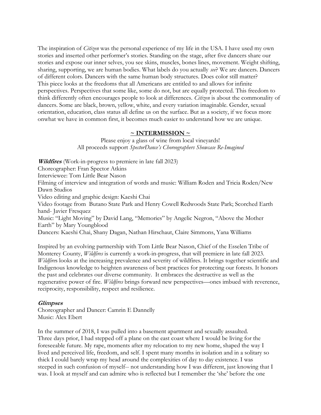The inspiration of *Citizen* was the personal experience of my life in the USA. I have used my own stories and inserted other performer's stories. Standing on the stage, after five dancers share our stories and expose our inner selves, you see skins, muscles, bones lines, movement. Weight shifting, sharing, supporting, we are human bodies. What labels do you actually see? We are dancers. Dancers of different colors. Dancers with the same human body structures. Does color still matter? This piece looks at the freedoms that all Americans are entitled to and allows for infinite perspectives. Perspectives that some like, some do not, but are equally protected. This freedom to think differently often encourages people to look at differences. *Citizen* is about the commonality of dancers. Some are black, brown, yellow, white, and every variation imaginable. Gender, sexual orientation, education, class status all define us on the surface. But as a society, if we focus more onwhat we have in common first, it becomes much easier to understand how we are unique.

#### $\sim$  INTERMISSION  $\sim$

Please enjoy a glass of wine from local vineyards! All proceeds support SpectorDance's Choreographers Showcase Re-Imagined

*Wildfires* (Work-in-progress to premiere in late fall 2023)

Choreographer: Fran Spector Atkins

Interviewee: Tom Little Bear Nason

Filming of interview and integration of words and music: William Roden and Tricia Roden/New Dawn Studios

Video editing and graphic design: Kaeshi Chai

Video footage from Butano State Park and Henry Cowell Redwoods State Park; Scorched Earth hand- Javier Fresquez

Music: "Light Moving" by David Lang, "Memories" by Angelic Negron, "Above the Mother Earth" by Mary Youngblood

Dancers: Kaeshi Chai, Shany Dagan, Nathan Hirschaut, Claire Simmons, Yana Williams

Inspired by an evolving partnership with Tom Little Bear Nason, Chief of the Esselen Tribe of Monterey County, Wildfires is currently a work-in-progress, that will premiere in late fall 2023. Wildfires looks at the increasing prevalence and severity of wildfires. It brings together scientific and Indigenous knowledge to heighten awareness of best practices for protecting our forests. It honors the past and celebrates our diverse community. It embraces the destructive as well as the regenerative power of fire. Wildfires brings forward new perspectives—ones imbued with reverence, reciprocity, responsibility, respect and resilience.

## **Glimpses**

Choreographer and Dancer: Camrin E Dannelly Music: Alex Ebert

In the summer of 2018, I was pulled into a basement apartment and sexually assaulted. Three days prior, I had stepped off a plane on the east coast where I would be living for the foreseeable future. My rape, moments after my relocation to my new home, shaped the way I lived and perceived life, freedom, and self. I spent many months in isolation and in a solitary so thick I could barely wrap my head around the complexities of day to day existence. I was steeped in such confusion of myself-- not understanding how I was different, just knowing that I was. I look at myself and can admire who is reflected but I remember the 'she' before the one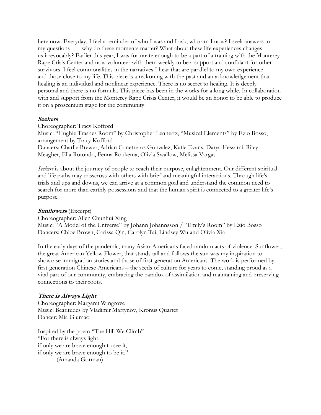here now. Everyday, I feel a reminder of who I was and I ask, who am I now? I seek answers to my questions - - - why do these moments matter? What about these life experiences changes us irrevocably? Earlier this year, I was fortunate enough to be a part of a training with the Monterey Rape Crisis Center and now volunteer with them weekly to be a support and confidant for other survivors. I feel commonalities in the narratives I hear that are parallel to my own experience and those close to my life. This piece is a reckoning with the past and an acknowledgement that healing is an individual and nonlinear experience. There is no secret to healing. It is deeply personal and there is no formula. This piece has been in the works for a long while. In collaboration with and support from the Monterey Rape Crisis Center, it would be an honor to be able to produce it on a proscenium stage for the community

#### Seekers

Choreographer: Tracy Kofford Music: "Hughie Trashes Room" by Christopher Lennertz, "Musical Elements" by Ezio Bosso, arrangement by Tracy Kofford Dancers: Charlie Brewer, Adrian Conetreros Gonzalez, Katie Evans, Darya Hessami, Riley Meagher, Ella Rotondo, Fenna Roukema, Olivia Swallow, Melissa Vargas

Seekers is about the journey of people to reach their purpose, enlightenment. Our different spiritual and life paths may crisscross with others with brief and meaningful interactions. Through life's trials and ups and downs, we can arrive at a common goal and understand the common need to search for more than earthly possessions and that the human spirit is connected to a greater life's purpose.

#### Sunflowers (Excerpt)

Choreographer: Allen Chunhui Xing Music: "A Model of the Universe" by Johann Johannsson / "Emily's Room" by Ezio Bosso Dancers: Chloe Brown, Carissa Qin, Carolyn Tai, Lindsey Wu and Olivia Xia

In the early days of the pandemic, many Asian-Americans faced random acts of violence. Sunflower, the great American Yellow Flower, that stands tall and follows the sun was my inspiration to showcase immigration stories and those of first-generation Americans. The work is performed by first-generation Chinese-Americans – the seeds of culture for years to come, standing proud as a vital part of our community, embracing the paradox of assimilation and maintaining and preserving connections to their roots.

#### There is Always Light

Choreographer: Margaret Wingrove Music: Beatitudes by Vladimir Martynov, Kronus Quartet Dancer: Mia Glumac

Inspired by the poem "The Hill We Climb" "For there is always light, if only we are brave enough to see it, if only we are brave enough to be it." (Amanda Gorman)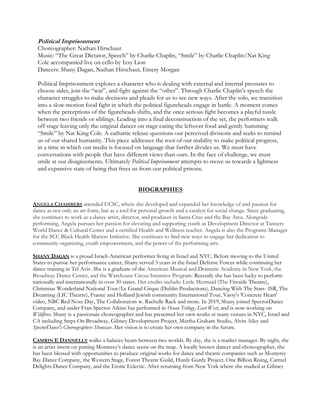#### Political Imprisonment

Choreographer: Nathan Hirschaut Music: "The Great Dictator, Speech" by Charlie Chaplin, "Smile" by Charlie Chaplin/Nat King Cole accompanied live on cello by Izzy Lion Dancers: Shany Dagan, Nathan Hirschaut, Emery Morgan

Political Imprisonment explores a character who is dealing with external and internal pressures to choose sides, join the "war", and fight against the "other". Through Charlie Chaplin's speech the character struggles to make decisions and pleads for us to see new ways. After the solo, we transition into a slow-motion food fight in which the political figureheads engage in battle. A moment comes when the perceptions of the figureheads shifts, and the once serious fight becomes a playful tussle between two friends or siblings. Leading into a final deconstruction of the set, the performers walk off stage leaving only the original dancer on stage eating the leftover food and gently humming "Smile" by Nat King Cole. A cathartic release questions our perceived divisions and seeks to remind us of our shared humanity. This piece addresses the root of our inability to make political progress, in a time in which our media is focused on language that further divides us. We must have conversations with people that have different views than ours. In the face of challenge, we must smile at our disagreements. Ultimately *Political Imprisonment* attempts to move us towards a lightness and expansive state of being that frees us from our political prisons.

## **BIOGRAPHIES**

ANGELA CHAMBERS attended UCSC, where she developed and expanded her knowledge of and passion for dance as not only an art form, but as a tool for personal growth and a catalyst for social change. Since graduating, she continues to work as a dance artist, director, and producer in Santa Cruz and the Bay Area. Alongside performing, Angela pursues her passion for elevating and supporting youth as Development Director at Tannery World Dance & Cultural Center and a certified Health and Wellness teacher. Angela is also the Programs Manager for the SCC Black Health Matters Initiative. She continues to find new ways to engage her dedication to community organizing, youth empowerment, and the power of the performing arts.

SHANY DAGAN is a proud Israeli-American performer living in Israel and NYC. Before moving to the United States to pursue her performance career, Shany served 3 years in the Israel Defense Forces while continuing her dance training in Tel Aviv. She is a graduate of the American Musical and Dramatic Academy in New York, the Broadway Dance Center, and the Warehouse Circus Intensive Program. Recently she has been lucky to perform nationally and internationally in over 30 states. Her credits include: Little Mermaid (The Fireside Theatre), Christmas Wonderland National Tour/Le Grand Cirque (Dublin Productions), Dancing With The Stars- ISR, The Dreaming (LIC Theatre), France and Holland Jewish community International Tour, Vassy's 'Concrete Heart' video, NBC Red Nose Day, The Collaborators w. Rachelle Rack and more. In 2019, Shany joined SpectorDance Company, and under Fran Spector Atkins has performed in Ocean Trilogy, East West, and is now working on Wildfires. Shany is a passionate choreographer and has presented her own works at many venues in NYC, Israel and CA including Steps On Broadway, Gibney Development Project, Martha Graham Studio, Alvin Ailey and SpectorDance's Choreographers Showcase. Her vision is to create her own company in the future.

CAMRIN E DANNELLY walks a balance beam between two worlds. By day, she is a market manager. By night, she is an artist intent on putting Monterey's dance scene on the map. A locally known dancer and choreographer, she has been blessed with opportunities to produce original works for dance and theatre companies such as Monterey Bay Dance Company, the Western Stage, Forest Theatre Guild, Hurdy Gurdy Project, One Billion Rising, Carmel Delights Dance Company, and the Erotic Eclectic. After returning from New York where she studied at Gibney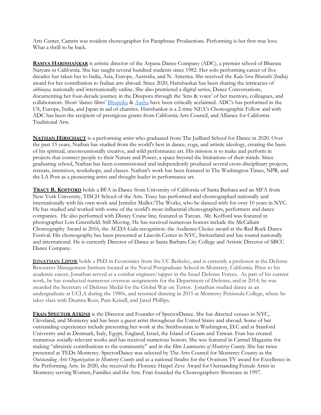Arts Center, Camrin was resident choreographer for Paraphrase Productions. Performing is her first true love. What a thrill to be back.

RAMYA HARISHANKAR is artistic director of the Arpana Dance Company (ADC), a premier school of Bharata Natyam in California. She has taught several hundred students since 1982. Her solo performing career of five decades has taken her to India, Asia, Europe, Australia, and N. America. She received the Kala Seva Bharathi (India) award for her contribution to Indian arts abroad. Since 2020, Harishankar has been sharing the intricacies of abhinaya, nationally and internationally online. She also premiered a digital series, Dance Conversations, documenting her four-decade journey in the Diaspora through the 'lens & voice' of her mentors, colleagues, and collaborators. Short 'dance films' Bhumika & Aasha have been critically acclaimed. ADC's has performed in the US, Europe, India, and Japan in aid of charities. Harishankar is a 2-time NEA's Choreographic Fellow and with ADC has been the recipient of prestigious grants from California Arts Council, and Alliance for California Traditional Arts.

NATHAN HIRSCHAUT is a performing artist who graduated from The Juilliard School for Dance in 2020. Over the past 15 years, Nathan has studied from the world's best in dance, yoga, and artistic ideology, creating the basis of his spiritual, unconventionally creative, and wild performance art. His mission is to make and perform in projects that connect people to their Nature and Power, a space beyond the limitations of their minds. Since graduating school, Nathan has been commissioned and independently produced several cross-disciplinary projects, retreats, intensives, workshops, and classes. Nathan's work has been featured in The Washington Times, NPR, and the LA Post as a pioneering artist and thought leader in performance art.

TRACY R. KOFFORD holds a BFA in Dance from University of California of Santa Barbara and an MFA from New York University, TISCH School of the Arts. Tracy has performed and choreographed nationally and internationally with his own work and Jennifer Muller/The Works, who he danced with for over 10 years in NYC. He has studied and worked with some of the world's most influential choreographers, performers and dance companies. He also performed with Disney Cruise line, featured as Tarzan. Mr. Kofford was featured in photographer Lois Greenfield: Still Moving. He has received numerous honors include the McCallum Choreography Award in 2016, the ACDA Gala recognition. the Audience Choice award at the Red Rock Dance Festival. His choreography has been presented at Lincoln Center in NYC, Switzerland and has toured nationally and international. He is currently Director of Dance at Santa Barbara City College and Artistic Director of SBCC Dance Company.

JONATHAN LIPOW holds a PhD in Economics from the UC Berkeley, and is currently a professor at the Defense Resources Management Institute located at the Naval Postgraduate School in Monterey, California. Prior to his academic career, Jonathan served as a combat engineer/sapper in the Israel Defense Forces. As part of his current work, he has conducted numerous overseas assignments for the Department of Defense, and in 2014, he was awarded the Secretary of Defense Medal for the Global War on Terror. Jonathan studied dance as an undergraduate at UCLA during the 1980s, and resumed dancing in 2015 at Monterey Peninsula College, where he takes class with Deanna Ross, Pam Keindl, and Jared Phillips.

FRAN SPECTOR ATKINS is the Director and Founder of SpectorDance. She has directed venues in NYC, Cleveland, and Monterey and has been a guest artist throughout the United States and abroad. Some of her outstanding experiences include presenting her work at the Smithsonian in Washington, D.C and at Stanford University and in Denmark, Italy, Egypt, England, Israel, the Island of Guam and Taiwan. Fran has created numerous socially-relevant works and has received numerous honors. She was featured in Carmel Magazine for making "altruistic contributions to the community" and in the film *Luminaries of Monterey County*. She has twice presented at TEDx Monterey. SpectorDance was selected by The Arts Council for Monterey County as the Outstanding Arts Organization in Monterey County and as a national finalist for the Ovations TV award for Excellence in the Performing Arts. In 2020, she received the Florence Haspel Zeve Award for Outstanding Female Artist in Monterey serving Women, Families and the Arts. Fran founded the Choreographers Showcase in 1997.